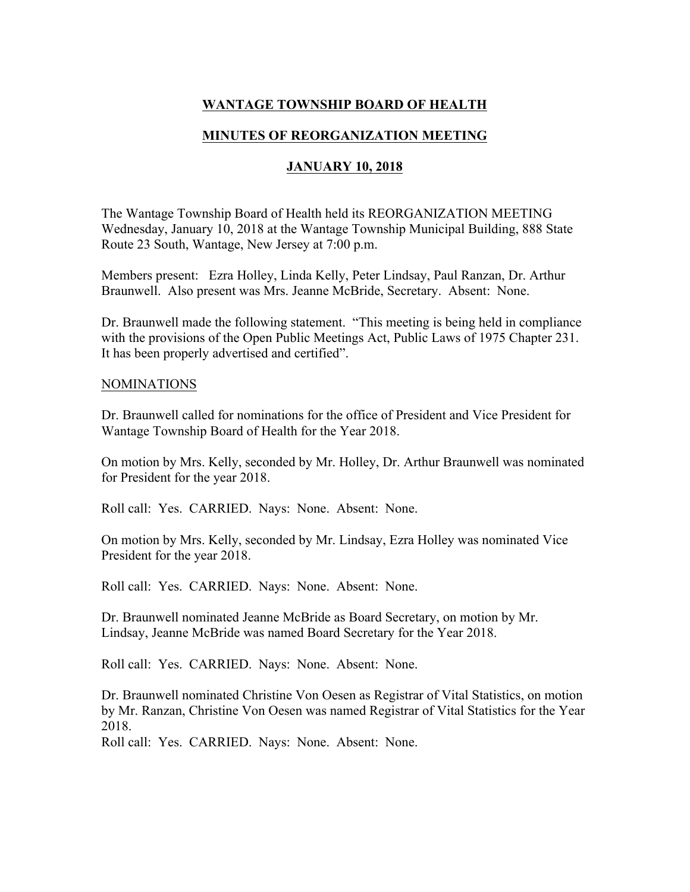# **WANTAGE TOWNSHIP BOARD OF HEALTH**

## **MINUTES OF REORGANIZATION MEETING**

## **JANUARY 10, 2018**

The Wantage Township Board of Health held its REORGANIZATION MEETING Wednesday, January 10, 2018 at the Wantage Township Municipal Building, 888 State Route 23 South, Wantage, New Jersey at 7:00 p.m.

Members present: Ezra Holley, Linda Kelly, Peter Lindsay, Paul Ranzan, Dr. Arthur Braunwell. Also present was Mrs. Jeanne McBride, Secretary. Absent: None.

Dr. Braunwell made the following statement. "This meeting is being held in compliance with the provisions of the Open Public Meetings Act, Public Laws of 1975 Chapter 231. It has been properly advertised and certified".

## NOMINATIONS

Dr. Braunwell called for nominations for the office of President and Vice President for Wantage Township Board of Health for the Year 2018.

On motion by Mrs. Kelly, seconded by Mr. Holley, Dr. Arthur Braunwell was nominated for President for the year 2018.

Roll call: Yes. CARRIED. Nays: None. Absent: None.

On motion by Mrs. Kelly, seconded by Mr. Lindsay, Ezra Holley was nominated Vice President for the year 2018.

Roll call: Yes. CARRIED. Nays: None. Absent: None.

Dr. Braunwell nominated Jeanne McBride as Board Secretary, on motion by Mr. Lindsay, Jeanne McBride was named Board Secretary for the Year 2018.

Roll call: Yes. CARRIED. Nays: None. Absent: None.

Dr. Braunwell nominated Christine Von Oesen as Registrar of Vital Statistics, on motion by Mr. Ranzan, Christine Von Oesen was named Registrar of Vital Statistics for the Year 2018.

Roll call: Yes. CARRIED. Nays: None. Absent: None.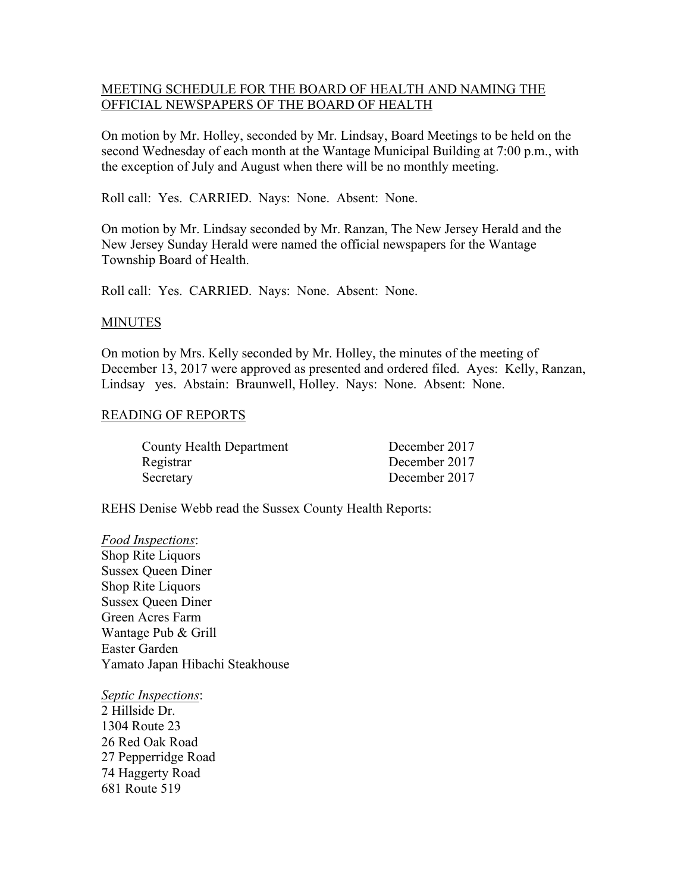## MEETING SCHEDULE FOR THE BOARD OF HEALTH AND NAMING THE OFFICIAL NEWSPAPERS OF THE BOARD OF HEALTH

On motion by Mr. Holley, seconded by Mr. Lindsay, Board Meetings to be held on the second Wednesday of each month at the Wantage Municipal Building at 7:00 p.m., with the exception of July and August when there will be no monthly meeting.

Roll call: Yes. CARRIED. Nays: None. Absent: None.

On motion by Mr. Lindsay seconded by Mr. Ranzan, The New Jersey Herald and the New Jersey Sunday Herald were named the official newspapers for the Wantage Township Board of Health.

Roll call: Yes. CARRIED. Nays: None. Absent: None.

#### MINUTES

On motion by Mrs. Kelly seconded by Mr. Holley, the minutes of the meeting of December 13, 2017 were approved as presented and ordered filed. Ayes: Kelly, Ranzan, Lindsay yes. Abstain: Braunwell, Holley. Nays: None. Absent: None.

## READING OF REPORTS

| <b>County Health Department</b> | December 2017 |
|---------------------------------|---------------|
| Registrar                       | December 2017 |
| Secretary                       | December 2017 |

REHS Denise Webb read the Sussex County Health Reports:

## *Food Inspections*:

Shop Rite Liquors Sussex Queen Diner Shop Rite Liquors Sussex Queen Diner Green Acres Farm Wantage Pub & Grill Easter Garden Yamato Japan Hibachi Steakhouse

*Septic Inspections*:

2 Hillside Dr. 1304 Route 23 26 Red Oak Road 27 Pepperridge Road 74 Haggerty Road 681 Route 519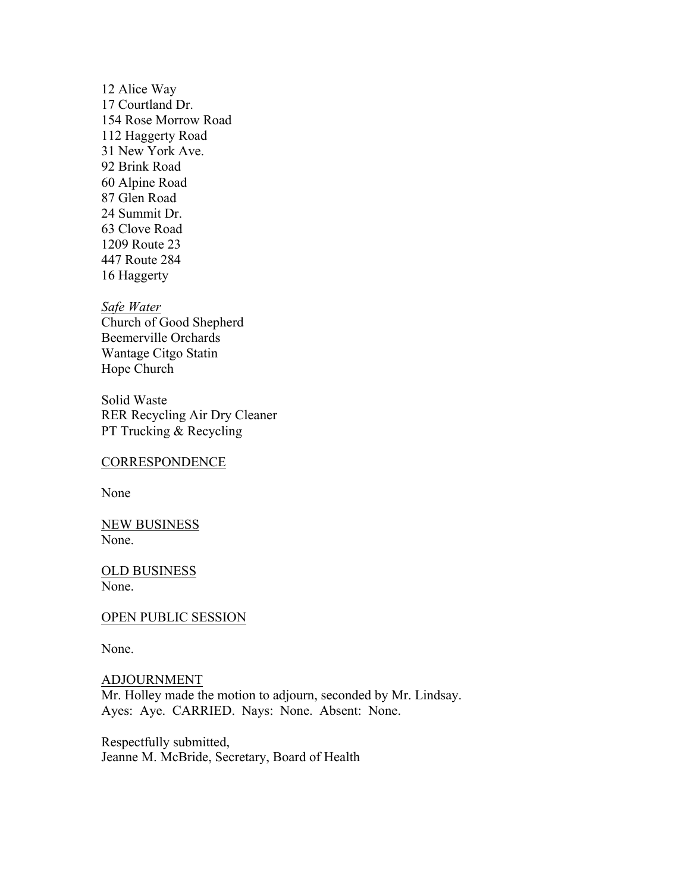12 Alice Way 17 Courtland Dr. 154 Rose Morrow Road 112 Haggerty Road 31 New York Ave. 92 Brink Road 60 Alpine Road 87 Glen Road 24 Summit Dr. 63 Clove Road 1209 Route 23 447 Route 284 16 Haggerty

*Safe Water* Church of Good Shepherd Beemerville Orchards Wantage Citgo Statin Hope Church

Solid Waste RER Recycling Air Dry Cleaner PT Trucking & Recycling

#### **CORRESPONDENCE**

None

NEW BUSINESS None.

OLD BUSINESS None.

OPEN PUBLIC SESSION

None.

ADJOURNMENT Mr. Holley made the motion to adjourn, seconded by Mr. Lindsay. Ayes: Aye. CARRIED. Nays: None. Absent: None.

Respectfully submitted, Jeanne M. McBride, Secretary, Board of Health